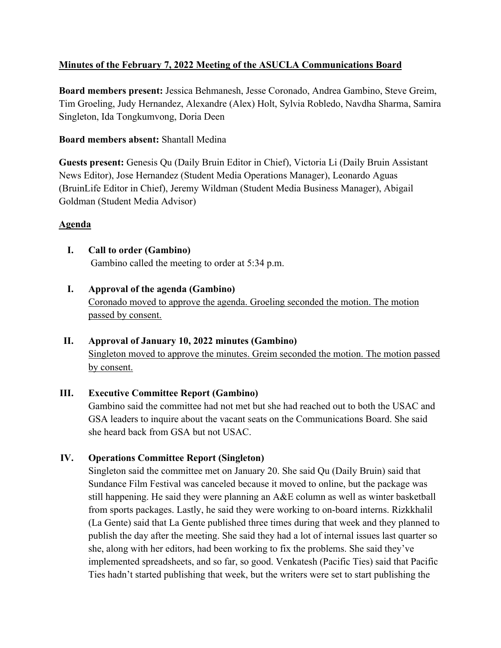# **Minutes of the February 7, 2022 Meeting of the ASUCLA Communications Board**

**Board members present:** Jessica Behmanesh, Jesse Coronado, Andrea Gambino, Steve Greim, Tim Groeling, Judy Hernandez, Alexandre (Alex) Holt, Sylvia Robledo, Navdha Sharma, Samira Singleton, Ida Tongkumvong, Doria Deen

### **Board members absent:** Shantall Medina

**Guests present:** Genesis Qu (Daily Bruin Editor in Chief), Victoria Li (Daily Bruin Assistant News Editor), Jose Hernandez (Student Media Operations Manager), Leonardo Aguas (BruinLife Editor in Chief), Jeremy Wildman (Student Media Business Manager), Abigail Goldman (Student Media Advisor)

# **Agenda**

- **I. Call to order (Gambino)** Gambino called the meeting to order at 5:34 p.m.
- **I. Approval of the agenda (Gambino)** Coronado moved to approve the agenda. Groeling seconded the motion. The motion passed by consent.

# **II. Approval of January 10, 2022 minutes (Gambino)** Singleton moved to approve the minutes. Greim seconded the motion. The motion passed

by consent.

# **III. Executive Committee Report (Gambino)**

Gambino said the committee had not met but she had reached out to both the USAC and GSA leaders to inquire about the vacant seats on the Communications Board. She said she heard back from GSA but not USAC.

# **IV. Operations Committee Report (Singleton)**

Singleton said the committee met on January 20. She said Qu (Daily Bruin) said that Sundance Film Festival was canceled because it moved to online, but the package was still happening. He said they were planning an A&E column as well as winter basketball from sports packages. Lastly, he said they were working to on-board interns. Rizkkhalil (La Gente) said that La Gente published three times during that week and they planned to publish the day after the meeting. She said they had a lot of internal issues last quarter so she, along with her editors, had been working to fix the problems. She said they've implemented spreadsheets, and so far, so good. Venkatesh (Pacific Ties) said that Pacific Ties hadn't started publishing that week, but the writers were set to start publishing the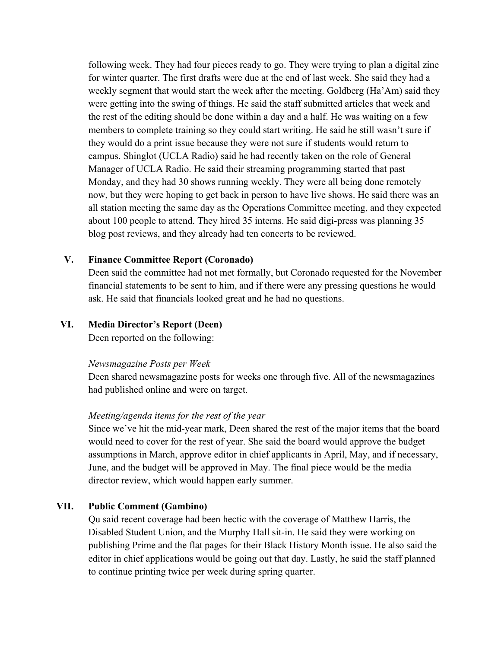following week. They had four pieces ready to go. They were trying to plan a digital zine for winter quarter. The first drafts were due at the end of last week. She said they had a weekly segment that would start the week after the meeting. Goldberg (Ha'Am) said they were getting into the swing of things. He said the staff submitted articles that week and the rest of the editing should be done within a day and a half. He was waiting on a few members to complete training so they could start writing. He said he still wasn't sure if they would do a print issue because they were not sure if students would return to campus. Shinglot (UCLA Radio) said he had recently taken on the role of General Manager of UCLA Radio. He said their streaming programming started that past Monday, and they had 30 shows running weekly. They were all being done remotely now, but they were hoping to get back in person to have live shows. He said there was an all station meeting the same day as the Operations Committee meeting, and they expected about 100 people to attend. They hired 35 interns. He said digi-press was planning 35 blog post reviews, and they already had ten concerts to be reviewed.

#### **V. Finance Committee Report (Coronado)**

Deen said the committee had not met formally, but Coronado requested for the November financial statements to be sent to him, and if there were any pressing questions he would ask. He said that financials looked great and he had no questions.

#### **VI. Media Director's Report (Deen)**

Deen reported on the following:

#### *Newsmagazine Posts per Week*

Deen shared newsmagazine posts for weeks one through five. All of the newsmagazines had published online and were on target.

#### *Meeting/agenda items for the rest of the year*

Since we've hit the mid-year mark, Deen shared the rest of the major items that the board would need to cover for the rest of year. She said the board would approve the budget assumptions in March, approve editor in chief applicants in April, May, and if necessary, June, and the budget will be approved in May. The final piece would be the media director review, which would happen early summer.

#### **VII. Public Comment (Gambino)**

Qu said recent coverage had been hectic with the coverage of Matthew Harris, the Disabled Student Union, and the Murphy Hall sit-in. He said they were working on publishing Prime and the flat pages for their Black History Month issue. He also said the editor in chief applications would be going out that day. Lastly, he said the staff planned to continue printing twice per week during spring quarter.